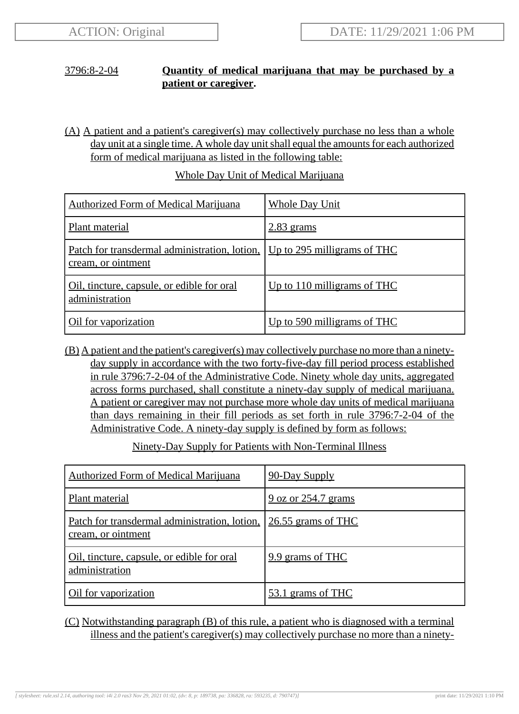## 3796:8-2-04 **Quantity of medical marijuana that may be purchased by a patient or caregiver.**

(A) A patient and a patient's caregiver(s) may collectively purchase no less than a whole day unit at a single time. A whole day unit shall equal the amounts for each authorized form of medical marijuana as listed in the following table:

| <b>Authorized Form of Medical Marijuana</b>                                                            | <b>Whole Day Unit</b>       |
|--------------------------------------------------------------------------------------------------------|-----------------------------|
| Plant material                                                                                         | $2.83$ grams                |
| <u>Patch for transdermal administration, lotion, Up to 295 milligrams of THC</u><br>cream, or ointment |                             |
| Oil, tincture, capsule, or edible for oral<br>administration                                           | Up to 110 milligrams of THC |
| Oil for vaporization                                                                                   | Up to 590 milligrams of THC |

## Whole Day Unit of Medical Marijuana

(B) A patient and the patient's caregiver(s) may collectively purchase no more than a ninetyday supply in accordance with the two forty-five-day fill period process established in rule 3796:7-2-04 of the Administrative Code. Ninety whole day units, aggregated across forms purchased, shall constitute a ninety-day supply of medical marijuana. A patient or caregiver may not purchase more whole day units of medical marijuana than days remaining in their fill periods as set forth in rule 3796:7-2-04 of the Administrative Code. A ninety-day supply is defined by form as follows:

Ninety-Day Supply for Patients with Non-Terminal Illness

| <b>Authorized Form of Medical Marijuana</b>                         | 90-Day Supply              |
|---------------------------------------------------------------------|----------------------------|
| Plant material                                                      | <u>9 oz or 254.7 grams</u> |
| Patch for transdermal administration, lotion,<br>cream, or ointment | $26.55$ grams of THC       |
| Oil, tincture, capsule, or edible for oral<br>administration        | 9.9 grams of THC           |
| Oil for vaporization                                                | 53.1 grams of THC          |

## (C) Notwithstanding paragraph (B) of this rule, a patient who is diagnosed with a terminal illness and the patient's caregiver(s) may collectively purchase no more than a ninety-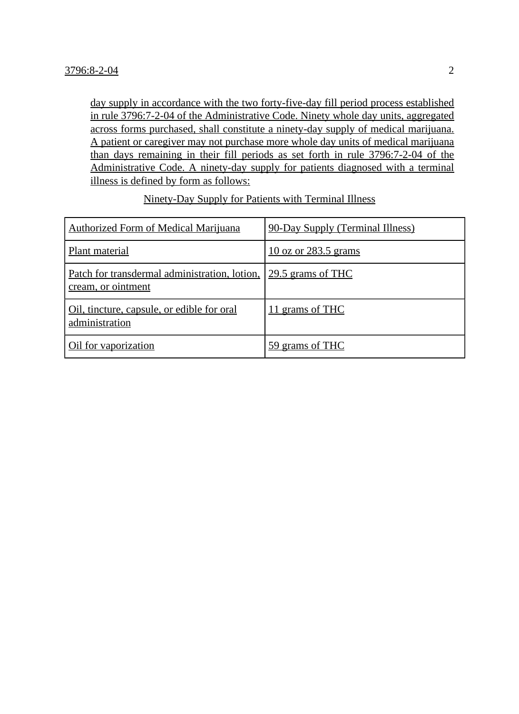day supply in accordance with the two forty-five-day fill period process established in rule 3796:7-2-04 of the Administrative Code. Ninety whole day units, aggregated across forms purchased, shall constitute a ninety-day supply of medical marijuana. A patient or caregiver may not purchase more whole day units of medical marijuana than days remaining in their fill periods as set forth in rule 3796:7-2-04 of the Administrative Code. A ninety-day supply for patients diagnosed with a terminal illness is defined by form as follows:

| <b>Authorized Form of Medical Marijuana</b>                         | 90-Day Supply (Terminal Illness) |
|---------------------------------------------------------------------|----------------------------------|
| Plant material                                                      | $10$ oz or 283.5 grams           |
| Patch for transdermal administration, lotion,<br>cream, or ointment | 29.5 grams of THC                |
| <u>Oil, tincture, capsule, or edible for oral</u><br>administration | 11 grams of THC                  |
| Oil for vaporization                                                | 59 grams of THC                  |

Ninety-Day Supply for Patients with Terminal Illness